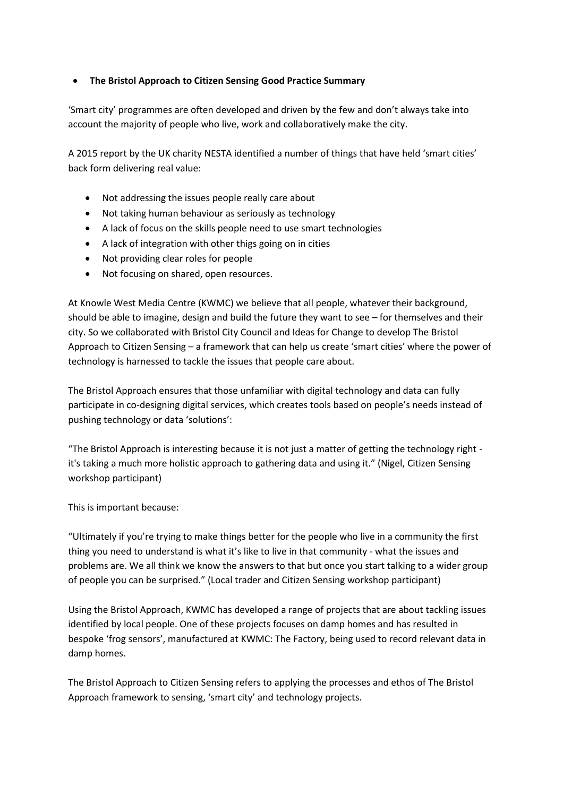## **The Bristol Approach to Citizen Sensing Good Practice Summary**

'Smart city' programmes are often developed and driven by the few and don't always take into account the majority of people who live, work and collaboratively make the city.

A 2015 report by the UK charity NESTA identified a number of things that have held 'smart cities' back form delivering real value:

- Not addressing the issues people really care about
- Not taking human behaviour as seriously as technology
- A lack of focus on the skills people need to use smart technologies
- A lack of integration with other thigs going on in cities
- Not providing clear roles for people
- Not focusing on shared, open resources.

At Knowle West Media Centre (KWMC) we believe that all people, whatever their background, should be able to imagine, design and build the future they want to see – for themselves and their city. So we collaborated with Bristol City Council and Ideas for Change to develop The Bristol Approach to Citizen Sensing – a framework that can help us create 'smart cities' where the power of technology is harnessed to tackle the issues that people care about.

The Bristol Approach ensures that those unfamiliar with digital technology and data can fully participate in co-designing digital services, which creates tools based on people's needs instead of pushing technology or data 'solutions':

"The Bristol Approach is interesting because it is not just a matter of getting the technology right it's taking a much more holistic approach to gathering data and using it." (Nigel, Citizen Sensing workshop participant)

This is important because:

"Ultimately if you're trying to make things better for the people who live in a community the first thing you need to understand is what it's like to live in that community - what the issues and problems are. We all think we know the answers to that but once you start talking to a wider group of people you can be surprised." (Local trader and Citizen Sensing workshop participant)

Using the Bristol Approach, KWMC has developed a range of projects that are about tackling issues identified by local people. One of these projects focuses on damp homes and has resulted in bespoke 'frog sensors', manufactured at KWMC: The Factory, being used to record relevant data in damp homes.

The Bristol Approach to Citizen Sensing refers to applying the processes and ethos of The Bristol Approach framework to sensing, 'smart city' and technology projects.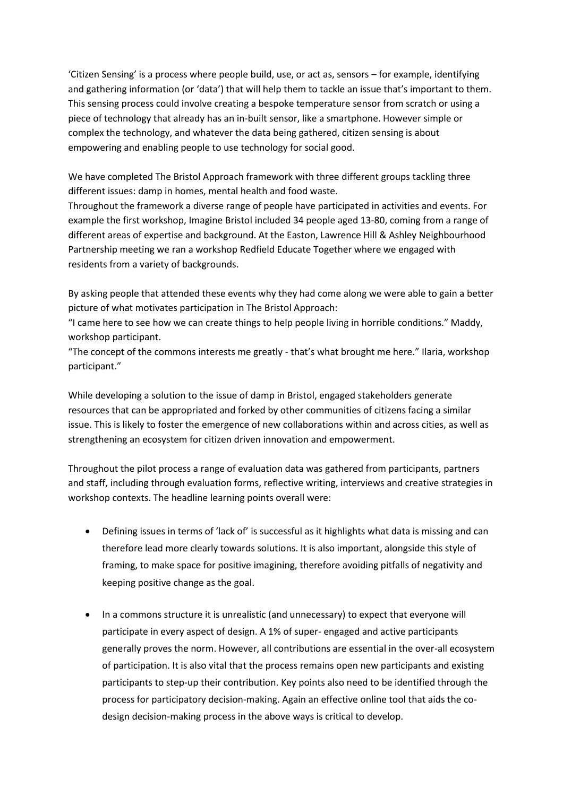'Citizen Sensing' is a process where people build, use, or act as, sensors – for example, identifying and gathering information (or 'data') that will help them to tackle an issue that's important to them. This sensing process could involve creating a bespoke temperature sensor from scratch or using a piece of technology that already has an in-built sensor, like a smartphone. However simple or complex the technology, and whatever the data being gathered, citizen sensing is about empowering and enabling people to use technology for social good.

We have completed The Bristol Approach framework with three different groups tackling three different issues: damp in homes, mental health and food waste.

Throughout the framework a diverse range of people have participated in activities and events. For example the first workshop, Imagine Bristol included 34 people aged 13-80, coming from a range of different areas of expertise and background. At the Easton, Lawrence Hill & Ashley Neighbourhood Partnership meeting we ran a workshop Redfield Educate Together where we engaged with residents from a variety of backgrounds.

By asking people that attended these events why they had come along we were able to gain a better picture of what motivates participation in The Bristol Approach:

"I came here to see how we can create things to help people living in horrible conditions." Maddy, workshop participant.

"The concept of the commons interests me greatly - that's what brought me here." Ilaria, workshop participant."

While developing a solution to the issue of damp in Bristol, engaged stakeholders generate resources that can be appropriated and forked by other communities of citizens facing a similar issue. This is likely to foster the emergence of new collaborations within and across cities, as well as strengthening an ecosystem for citizen driven innovation and empowerment.

Throughout the pilot process a range of evaluation data was gathered from participants, partners and staff, including through evaluation forms, reflective writing, interviews and creative strategies in workshop contexts. The headline learning points overall were:

- Defining issues in terms of 'lack of' is successful as it highlights what data is missing and can therefore lead more clearly towards solutions. It is also important, alongside this style of framing, to make space for positive imagining, therefore avoiding pitfalls of negativity and keeping positive change as the goal.
- In a commons structure it is unrealistic (and unnecessary) to expect that everyone will participate in every aspect of design. A 1% of super- engaged and active participants generally proves the norm. However, all contributions are essential in the over-all ecosystem of participation. It is also vital that the process remains open new participants and existing participants to step-up their contribution. Key points also need to be identified through the process for participatory decision-making. Again an effective online tool that aids the codesign decision-making process in the above ways is critical to develop.